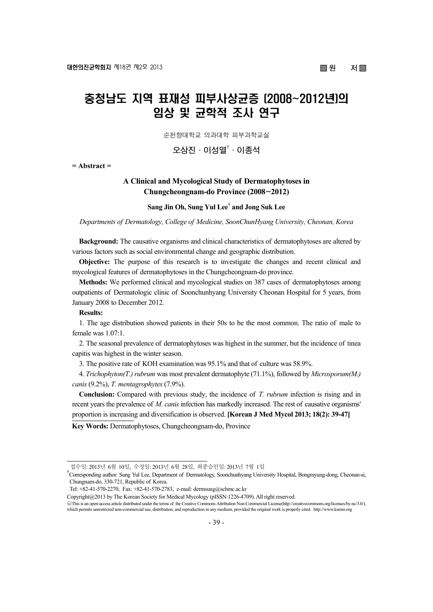# 충청남도 지역 표재성 피부사상균증 (2008~2012년)의 임상 및 균학적 조사 연구

순천향대학교 의과대학 피부과학교실

**오상진·이성열**† **·이종석** 

**= Abstract =** 

# **A Clinical and Mycological Study of Dermatophytoses in Chungcheongnam-do Province (2008**~**2012)**

# **Sang Jin Oh, Sung Yul Lee† and Jong Suk Lee**

*Departments of Dermatology, College of Medicine, SoonChunHyang University, Cheonan, Korea* 

**Background:** The causative organisms and clinical characteristics of dermatophytoses are altered by various factors such as social environmental change and geographic distribution.

**Objective:** The purpose of this research is to investigate the changes and recent clinical and mycological features of dermatophytoses in the Chungcheongnam-do province.

**Methods:** We performed clinical and mycological studies on 387 cases of dermatophytoses among outpatients of Dermatologic clinic of Soonchunhyang University Cheonan Hospital for 5 years, from January 2008 to December 2012.

#### **Results:**

1. The age distribution showed patients in their 50s to be the most common. The ratio of male to female was 1.07:1.

2. The seasonal prevalence of dermatophytoses was highest in the summer, but the incidence of tinea capitis was highest in the winter season.

3. The positive rate of KOH examination was 95.1% and that of culture was 58.9%.

4. *Trichophyton(T.) rubrum* was most prevalent dermatophyte (71.1%), followed by *Microsporum(M.) canis* (9.2%), *T. mentagrophytes* (7.9%).

**Conclusion:** Compared with previous study, the incidence of *T. rubrum* infection is rising and in recent years the prevalence of *M. canis* infection has markedly increased. The rest of causative organisms' proportion is increasing and diversification is observed. **[Korean J Med Mycol 2013; 18(2): 39-47]**

**Key Words:** Dermatophytoses, Chungcheongnam-do, Province

Tel: +82-41-570-2270, Fax: +82-41-570-2783, e-mail: dermsung@schmc.ac.kr

Copyright@2013 by The Korean Society for Medical Mycology (pISSN:1226-4709). All right reserved.

접수일: 2013년 6월 10일, 수정일: 2013년 6월 28일, 최종승인일: 2013년 7월 1일

<sup>†</sup> Corresponding author: Sung Yul Lee, Department of Dermatology, Soonchunhyang University Hospital, Bongmyung-dong, Cheonan-si, Chungnam-do, 330-721, Republic of Korea.

<sup>○</sup>cc This is an open-access article distributed under the terms of the Creative Commons Attribution Non-Commercial License(http://creativecommons.org/licenses/by-nc/3.0/), which permits unrestricted non-commercial use, distribution, and reproduction in any medium, provided the original work is properly cited. http://www.ksmm.org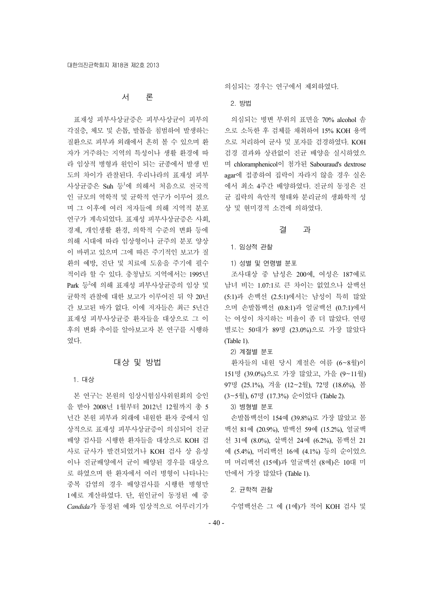# 서 론

표재성 피부사상균증은 피부사상균이 피부의 각질층, 체모 및 손톱, 발톱을 침범하여 발생하는 질환으로 피부과 외래에서 흔히 볼 수 있으며 환 자가 거주하는 지역의 특성이나 생활 환경에 따 라 임상적 병형과 원인이 되는 균종에서 발생 빈 도의 차이가 관찰된다. 우리나라의 표재성 피부 사상균증은 Suh 등<sup>1</sup>에 의해서 처음으로 전국적 인 규모의 역학적 및 균학적 연구가 이루어 졌으 며 그 이후에 여러 저자들에 의해 지역적 분포 연구가 계속되었다. 표재성 피부사상균증은 사회, 경제, 개인생활 환경, 의학적 수준의 변화 등에 의해 시대에 따라 임상형이나 균주의 분포 양상 이 바뀌고 있으며 그에 따른 주기적인 보고가 질 환의 예방, 진단 및 치료에 도움을 주기에 필수 적이라 할 수 있다. 충청남도 지역에서는 1995년 Park 등 에 의해 표재성 피부사상균증의 임상 및 균학적 관찰에 대한 보고가 이루어진 뒤 약 20년 간 보고된 바가 없다. 이에 저자들은 최근 5년간 표재성 피부사상균증 환자들을 대상으로 그 이 후의 변화 추이를 알아보고자 본 연구를 시행하 였다.

# 대상 및 방법

#### 1. 대상

본 연구는 본원의 임상시험심사위원회의 승인 을 받아 2008년 1월부터 2012년 12월까지 총 5 년간 본원 피부과 외래에 내원한 환자 중에서 임 상적으로 표재성 피부사상균증이 의심되어 진균 배양 검사를 시행한 환자들을 대상으로 KOH 검 사로 균사가 발견되었거나 KOH 검사 상 음성 이나 진균배양에서 균이 배양된 경우를 대상으 로 하였으며 한 환자에서 여러 병형이 나타나는 중복 감염의 경우 배양검사를 시행한 병형만 1예로 계산하였다. 단, 원인균이 동정된 예 중 *Candida*가 동정된 예와 임상적으로 어루러기가 의심되는 경우는 연구에서 제외하였다.

2. 방법

의심되는 병변 부위의 표면을 70% alcohol 솜 으로 소독한 후 검체를 채취하여 15% KOH 용액 으로 처리하여 균사 및 포자를 검경하였다. KOH 검경 결과와 상관없이 진균 배양을 실시하였으 며 chloramphenicol이 첨가된 Sabouraud's dextrose agar에 접종하여 집락이 자라지 않을 경우 실온 에서 최소 4주간 배양하였다. 진균의 동정은 진 균 집락의 육안적 형태와 분리균의 생화학적 성 상 및 현미경적 소견에 의하였다.

## 결 과

#### 1. 임상적 관찰

1) 성별 및 연령별 분포

조사대상 중 남성은 200예, 여성은 187예로 남녀 비는 1.07:1로 큰 차이는 없었으나 샅백선 (5:1)과 손백선 (2.5:1)에서는 남성이 특히 많았 으며 손발톱백선 (0.8:1)과 얼굴백선 (0.7:1)에서 는 여성이 차지하는 비율이 좀 더 많았다. 연령 별로는 50대가 89명 (23.0%)으로 가장 많았다 (Table 1).

2) 계절별 분포

환자들의 내원 당시 계절은 여름 (6~8월)이 151명 (39.0%)으로 가장 많았고, 가을 (9~11월) 97명 (25.1%), 겨울 (12~2월), 72명 (18.6%), 봄 (3~5월), 67명 (17.3%) 순이었다 (Table 2).

# 3) 병형별 분포

손발톱백선이 154예 (39.8%)로 가장 많았고 몸 백선 81예 (20.9%), 발백선 59예 (15.2%), 얼굴백 선 31예 (8.0%), 샅백선 24예 (6.2%), 몸백선 21 예 (5.4%), 머리백선 16예 (4.1%) 등의 순이었으 며 머리백선 (15예)과 얼굴백선 (8예)은 10대 미 만에서 가장 많았다 (Table 1).

2. 균학적 관찰

수염백선은 그 예 (1예)가 적어 KOH 검사 및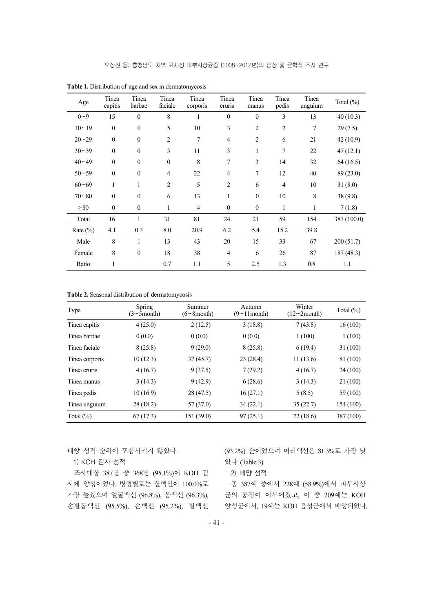| Age         | Tinea<br>capitis | Tinea<br>barbae  | Tinea<br>faciale | Tinea<br>corporis | Tinea<br>cruns | Tinea<br>manus | Tinea<br>pedis | Tinea<br>unguium | Total $(\%)$ |
|-------------|------------------|------------------|------------------|-------------------|----------------|----------------|----------------|------------------|--------------|
| $0 - 9$     | 15               | $\theta$         | 8                |                   | $\mathbf{0}$   | $\Omega$       | 3              | 13               | 40(10.3)     |
| $10 - 19$   | $\mathbf{0}$     | $\boldsymbol{0}$ | 5                | 10                | 3              | $\overline{c}$ | $\overline{c}$ | 7                | 29(7.5)      |
| $20 - 29$   | $\mathbf{0}$     | $\boldsymbol{0}$ | $\overline{2}$   | 7                 | $\overline{4}$ | $\overline{2}$ | 6              | 21               | 42(10.9)     |
| $30 - 39$   | $\mathbf{0}$     | $\mathbf{0}$     | 3                | 11                | 3              | 1              | 7              | 22               | 47(12.1)     |
| $40 - 49$   | $\mathbf{0}$     | $\mathbf{0}$     | $\mathbf{0}$     | 8                 | 7              | 3              | 14             | 32               | 64(16.5)     |
| $50 - 59$   | $\theta$         | $\theta$         | $\overline{4}$   | 22                | 4              | 7              | 12             | 40               | 89 (23.0)    |
| $60 - 69$   | 1                |                  | $\overline{2}$   | 5                 | $\overline{2}$ | 6              | $\overline{4}$ | 10               | 31(8.0)      |
| $70 - 80$   | $\mathbf{0}$     | $\mathbf{0}$     | 6                | 13                | 1              | $\theta$       | 10             | $\,8\,$          | 38(9.8)      |
| $\geq 80$   | $\theta$         | $\mathbf{0}$     | 1                | $\overline{4}$    | $\mathbf{0}$   | $\theta$       | 1              | 1                | 7(1.8)       |
| Total       | 16               | $\mathbf{1}$     | 31               | 81                | 24             | 21             | 59             | 154              | 387 (100.0)  |
| Rate $(\%)$ | 4.1              | 0.3              | 8.0              | 20.9              | 6.2            | 5.4            | 15.2           | 39.8             |              |
| Male        | 8                | 1                | 13               | 43                | 20             | 15             | 33             | 67               | 200 (51.7)   |
| Female      | 8                | $\boldsymbol{0}$ | 18               | 38                | $\overline{4}$ | 6              | 26             | 87               | 187(48.3)    |
| Ratio       |                  |                  | 0.7              | 1.1               | 5              | 2.5            | 1.3            | 0.8              | 1.1          |

**Table 1.** Distribution of age and sex in dermatomycosis

**Table 2.** Seasonal distribution of dermatomycosis

| Type           | <b>Spring</b><br>$(3 \sim 5$ month) | Summer<br>$(6 \sim 8$ month) | Autumn<br>$(9 \sim 11$ month) | Winter<br>$(12 \sim 2$ month) | Total $(\% )$ |
|----------------|-------------------------------------|------------------------------|-------------------------------|-------------------------------|---------------|
| Tinea capitis  | 4(25.0)                             | 2(12.5)                      | 3(18.8)                       | 7(43.8)                       | 16(100)       |
| Tinea barbae   | 0(0.0)                              | 0(0.0)                       | 0(0.0)                        | 1(100)                        | 1(100)        |
| Tinea faciale  | 8(25.8)                             | 9(29.0)                      | 8(25.8)                       | 6(19.4)                       | 31 (100)      |
| Tinea corporis | 10(12.3)                            | 37(45.7)                     | 23(28.4)                      | 11(13.6)                      | 81 (100)      |
| Tinea cruris   | 4(16.7)                             | 9(37.5)                      | 7(29.2)                       | 4(16.7)                       | 24 (100)      |
| Tinea manus    | 3(14.3)                             | 9(42.9)                      | 6(28.6)                       | 3(14.3)                       | 21 (100)      |
| Tinea pedis    | 10(16.9)                            | 28 (47.5)                    | 16(27.1)                      | 5(8.5)                        | 59 (100)      |
| Tinea unguium  | 28(18.2)                            | 57 (37.0)                    | 34(22.1)                      | 35(22.7)                      | 154 (100)     |
| Total $(\%)$   | 67(17.3)                            | 151 (39.0)                   | 97(25.1)                      | 72 (18.6)                     | 387 (100)     |

배양 성적 순위에 포함시키지 않았다.

1) KOH 검사 성적

조사대상 387명 중 368명 (95.1%)이 KOH 검 사에 양성이었다. 병형별로는 샅백선이 100.0%로 가장 높았으며 얼굴백선 (96.8%), 몸백선 (96.3%), 손발톱백선 (95.5%), 손백선 (95.2%), 발백선 (93.2%) 순이었으며 머리백선은 81.3%로 가장 낮 았다 (Table 3).

2) 배양 성적

총 387예 중에서 228예 (58.9%)에서 피부사상 균의 동정이 이루어졌고, 이 중 209예는 KOH 양성군에서, 19예는 KOH 음성군에서 배양되었다.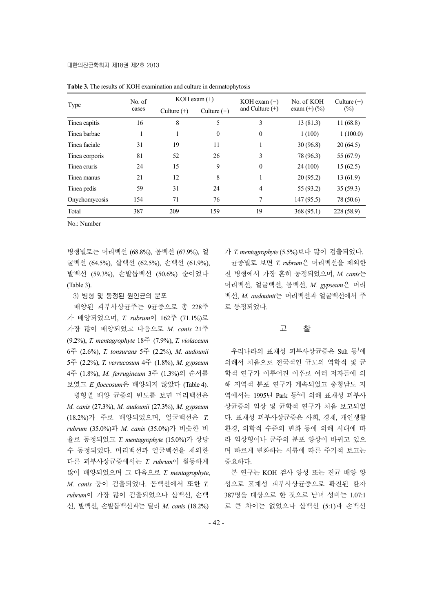|                | No. of |               | KOH exam $(+)$ | KOH exam $(-)$    | No. of KOH        | Culture $(+)$ |  |
|----------------|--------|---------------|----------------|-------------------|-------------------|---------------|--|
| Type           | cases  | Culture $(+)$ | Culture $(-)$  | and Culture $(+)$ | exam $(+)$ $(\%)$ | $(\%)$        |  |
| Tinea capitis  | 16     | 8             | 5              | 3                 | 13(81.3)          | 11(68.8)      |  |
| Tinea barbae   |        |               | $\theta$       | $\boldsymbol{0}$  | 1(100)            | 1(100.0)      |  |
| Tinea faciale  | 31     | 19            | 11             |                   | 30(96.8)          | 20(64.5)      |  |
| Tinea corporis | 81     | 52            | 26             | 3                 | 78 (96.3)         | 55 (67.9)     |  |
| Tinea cruris   | 24     | 15            | 9              | $\theta$          | 24 (100)          | 15(62.5)      |  |
| Tinea manus    | 21     | 12            | 8              | 1                 | 20(95.2)          | 13(61.9)      |  |
| Tinea pedis    | 59     | 31            | 24             | 4                 | 55 (93.2)         | 35(59.3)      |  |
| Onychomycosis  | 154    | 71            | 76             | 7                 | 147 (95.5)        | 78 (50.6)     |  |
| Total          | 387    | 209           | 159            | 19                | 368 (95.1)        | 228 (58.9)    |  |

**Table 3.** The results of KOH examination and culture in dermatophytosis

No.: Number

병형별로는 머리백선 (68.8%), 몸백선 (67.9%), 얼 굴백선 (64.5%), 샅백선 (62.5%), 손백선 (61.9%), 발백선 (59.3%), 손발톱백선 (50.6%) 순이었다 (Table 3).

3) 병형 및 동정된 원인균의 분포

배양된 피부사상균주는 9균종으로 총 228주 가 배양되었으며, *T. rubrum*이 162주 (71.1%)로 가장 많이 배양되었고 다음으로 *M. canis* 21주 (9.2%), *T. mentagrophyte* 18주 (7.9%), *T. violaceum* 6주 (2.6%), *T. tonsurans* 5주 (2.2%), *M. audounii* 5주 (2.2%), *T. verrucosum* 4주 (1.8%), *M. gypseum* 4주 (1.8%), *M. ferrugineum* 3주 (1.3%)의 순서를 보였고 *E. floccosum*은 배양되지 않았다 (Table 4).

병형별 배양 균종의 빈도를 보면 머리백선은 *M. canis* (27.3%), *M. audounii* (27.3%), *M. gypseum*  (18.2%)가 주로 배양되었으며, 얼굴백선은 *T. rubrum* (35.0%)과 *M. canis* (35.0%)가 비슷한 비 율로 동정되었고 *T. mentagrophyte* (15.0%)가 상당 수 동정되었다. 머리백선과 얼굴백선을 제외한 다른 피부사상균증에서는 *T. rubrum*이 월등하게 많이 배양되었으며 그 다음으로 *T. mentagrophyte*, *M. canis* 등이 검출되었다. 몸백선에서 또한 *T. rubrum*이 가장 많이 검출되었으나 샅백선, 손백 선, 발백선, 손발톱백선과는 달리 *M. canis* (18.2%)

가 *T. mentagrophyte* (5.5%)보다 많이 검출되었다. 균종별로 보면 *T. rubrum*은 머리백선을 제외한 전 병형에서 가장 흔히 동정되었으며, *M. canis*는 머리백선, 얼굴백선, 몸백선, *M. gypseum*은 머리 백선, *M. audouinii*는 머리백선과 얼굴백선에서 주 로 동정되었다.

#### 고 찰

우리나라의 표재성 피부사상균증은 Suh 등1에 의해서 처음으로 전국적인 규모의 역학적 및 균 학적 연구가 이루어진 이후로 여러 저자들에 의 해 지역적 분포 연구가 계속되었고 충청남도 지 역에서는 1995년 Park 등2에 의해 표재성 피부사 상균증의 임상 및 균학적 연구가 처음 보고되었 다. 표재성 피부사상균증은 사회, 경제, 개인생활 환경, 의학적 수준의 변화 등에 의해 시대에 따 라 임상형이나 균주의 분포 양상이 바뀌고 있으 며 빠르게 변화하는 시류에 따른 주기적 보고는 중요하다.

본 연구는 KOH 검사 양성 또는 진균 배양 양 성으로 표재성 피부사상균증으로 확진된 환자 387명을 대상으로 한 것으로 남녀 성비는 1.07:1 로 큰 차이는 없었으나 샅백선 (5:1)과 손백선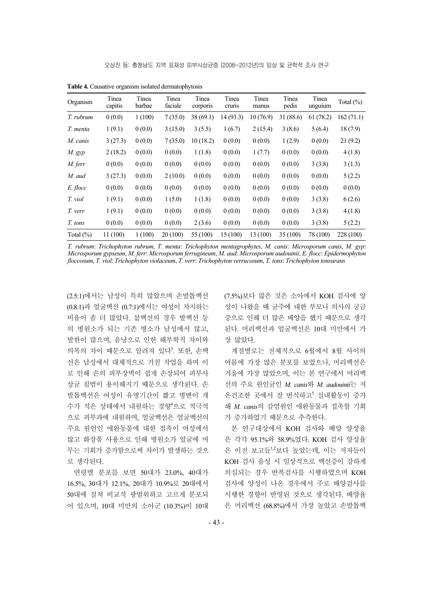| Organism     | Tinea<br>capitis | Tinea<br>barbae | Tinea<br>faciale | Tinea<br>corporis | Tinea<br>cruris | Tinea<br>manus | Tinea<br>pedis | Tinea<br>unguium | Total $(\%)$ |
|--------------|------------------|-----------------|------------------|-------------------|-----------------|----------------|----------------|------------------|--------------|
| T. rubrum    | 0(0.0)           | 1(100)          | 7(35.0)          | 38(69.1)          | 14(93.3)        | 10(76.9)       | 31 (88.6)      | 61(78.2)         | 162(71.1)    |
| T. menta     | 1(9.1)           | 0(0.0)          | 3(15.0)          | 3(5.5)            | 1(6.7)          | 2(15.4)        | 3(8.6)         | 5(6.4)           | 18(7.9)      |
| M. canis     | 3(27.3)          | 0(0.0)          | 7(35.0)          | 10(18.2)          | 0(0.0)          | 0(0.0)         | 1(2.9)         | 0(0.0)           | 21(9.2)      |
| $M$ . $gyp$  | 2(18.2)          | 0(0.0)          | 0(0.0)           | 1(1.8)            | 0(0.0)          | 1(7.7)         | 0(0.0)         | 0(0.0)           | 4(1.8)       |
| M. ferr      | 0(0.0)           | 0(0.0)          | 0(0.0)           | 0(0.0)            | 0(0.0)          | 0(0.0)         | 0(0.0)         | 3(3.8)           | 3(1.3)       |
| M. aud       | 3(27.3)          | 0(0.0)          | 2(10.0)          | 0(0.0)            | 0(0.0)          | 0(0.0)         | 0(0.0)         | 0(0.0)           | 5(2.2)       |
| E. flocc     | 0(0.0)           | 0(0.0)          | 0(0.0)           | 0(0.0)            | 0(0.0)          | 0(0.0)         | 0(0.0)         | 0(0.0)           | 0(0.0)       |
| T. viol      | 1(9.1)           | 0(0.0)          | 1(5.0)           | 1(1.8)            | 0(0.0)          | 0(0.0)         | 0(0.0)         | 3(3.8)           | 6(2.6)       |
| T. verr      | 1(9.1)           | 0(0.0)          | 0(0.0)           | 0(0.0)            | 0(0.0)          | 0(0.0)         | 0(0.0)         | 3(3.8)           | 4(1.8)       |
| T. tons      | 0(0.0)           | 0(0.0)          | 0(0.0)           | 2(3.6)            | 0(0.0)          | 0(0.0)         | 0(0.0)         | 3(3.8)           | 5(2.2)       |
| Total $(\%)$ | 11 (100)         | 1(100)          | 20(100)          | 55 (100)          | 15 (100)        | 13 (100)       | 35(100)        | 78 (100)         | 228 (100)    |

**Table 4.** Causative organism isolated dermatophytosis

*T. rubrum*: *Trichophyton rubrum*, *T. menta*: *Trichophyton mentagrophytes*, *M. canis*: *Microsporum canis*, *M. gyp*: *Microsporum gypseum*, *M. ferr*: *Microsporum ferrugineum*, *M. aud*: *Microsporum audouinii*, *E. flocc*: *Epidermophyton floccosum*, *T. viol*: *Trichophyton violaceum*, *T. verr*: *Trichophyton verrucosum*, *T. tons*: *Trichophyton tonsurans*

(2.5:1)에서는 남성이 특히 많았으며 손발톱백선 (0.8:1)과 얼굴백선 (0.7:1)에서는 여성이 차지하는 비율이 좀 더 많았다. 샅백선의 경우 발백선 등 의 병원소가 되는 기존 병소가 남성에서 많고, 발한이 많으며, 음낭으로 인한 해부학적 차이와 의복의 차이 때문으로 알려져 있다<sup>3</sup>. 또한, 손백 선은 남성에서 대체적으로 거친 작업을 하며 이 로 인해 손의 피부장벽이 쉽게 손상되어 피부사 상균 침범이 용이해지기 때문으로 생각된다. 손 발톱백선은 여성이 유병기간이 짧고 병변이 개 수가 적은 상태에서 내원하는 경향<sup>4</sup> 으로 적극적 으로 피부과에 내원하며, 얼굴백선은 얼굴백선의 주요 원인인 애완동물에 대한 접촉이 여성에서 많고 화장품 사용으로 인해 병원소가 얼굴에 머 무는 기회가 증가함으로써 차이가 발생하는 것으 로 생각된다.

연령별 분포를 보면 50대가 23.0%, 40대가 16.5%, 30대가 12.1%, 20대가 10.9%로 20대에서 50대에 걸쳐 비교적 광범위하고 고르게 분포되 어 있으며, 10대 미만의 소아군 (10.3%)이 10대

(7.5%)보다 많은 것은 소아에서 KOH 검사에 양 성이 나왔을 때 균주에 대한 부모나 의사의 궁금 증으로 인해 더 많은 배양을 했기 때문으로 생각 된다. 머리백선과 얼굴백선은 10대 미만에서 가 장 많았다.

계절별로는 전체적으로 6월에서 8월 사이의 여름에 가장 많은 분포를 보였으나, 머리백선은 겨울에 가장 많았으며, 이는 본 연구에서 머리백 선의 주요 원인균인 *M. canis*와 *M. audouinii*는 저 온건조한 곳에서 잘 번식하고<sup>5</sup> 실내활동이 증가 해 *M. canis*의 감염원인 애완동물과 접촉할 기회 가 증가하였기 때문으로 추측한다.

본 연구대상에서 KOH 검사와 배양 양성율 은 각각 95.1%와 58.9%였다. KOH 검사 양성율 은 이전 보고들1,2보다 높았는데, 이는 저자들이 KOH 검사 음성 시 임상적으로 백선증이 강하게 의심되는 경우 반복검사를 시행하였으며 KOH 검사에 양성이 나온 경우에서 주로 배양검사를 시행한 경향이 반영된 것으로 생각된다. 배양율 은 머리백선 (68.8%)에서 가장 높았고 손발톱백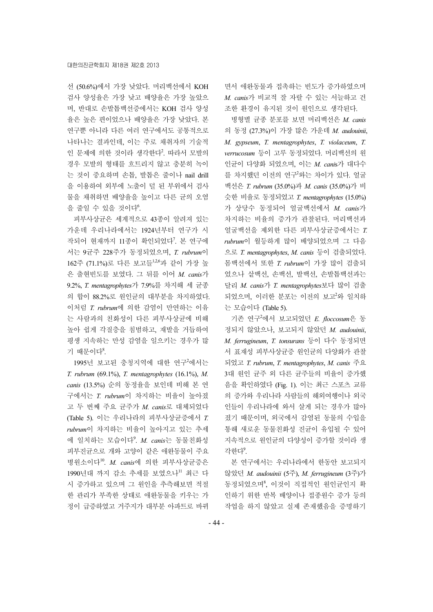선 (50.6%)에서 가장 낮았다. 머리백선에서 KOH 검사 양성율은 가장 낮고 배양율은 가장 높았으 며, 반대로 손발톱백선증에서는 KOH 검사 양성 율은 높은 편이었으나 배양율은 가장 낮았다. 본 연구뿐 아니라 다른 여러 연구에서도 공통적으로 나타나는 결과인데, 이는 주로 채취자의 기술적 인 문제에 의한 것이라 생각한다<sup>2</sup>. 따라서 모발의 경우 모발의 형태를 흐트리지 않고 충분히 녹이 는 것이 중요하며 손톱, 발톱은 줄이나 nail drill 을 이용하여 외부에 노출이 덜 된 부위에서 검사 물을 채취하면 배양율을 높이고 다른 균의 오염 을 줄일 수 있을 것이다<sup>6</sup>.

피부사상균은 세계적으로 43종이 알려져 있는 가운데 우리나라에서는 1924년부터 연구가 시 작되어 현재까지 11종이 확인되었다<sup>7</sup>. 본 연구에 서는 9균주 228주가 동정되었으며, *T. rubrum*이 162주 (71.1%)로 다른 보고들1,2,6과 같이 가장 높 은 출현빈도를 보였다. 그 뒤를 이어 *M. canis*가 9.2%, *T. mentagrophytes*가 7.9%를 차지해 세 균종 의 합이 88.2%로 원인균의 대부분을 차지하였다. 이처럼 *T. rubrum*에 의한 감염이 만연하는 이유 는 사람과의 친화성이 다른 피부사상균에 비해 높아 쉽게 각질층을 침범하고, 재발을 거듭하여 평생 지속하는 만성 감염을 일으키는 경우가 많 기 때문이다<sup>8</sup>.

1995년 보고된 충청지역에 대한 연구2에서는 *T. rubrum* (69.1%), *T. mentagrophytes* (16.1%), *M. canis* (13.5%) 순의 동정율을 보인데 비해 본 연 구에서는 *T. rubrum*이 차지하는 비율이 높아졌 고 두 번째 주요 균주가 *M. canis*로 대체되었다 (Table 5). 이는 우리나라의 피부사상균증에서 *T. rubrum*이 차지하는 비율이 높아지고 있는 추세 에 일치하는 모습이다<sup>9</sup> . *M. canis*는 동물친화성 피부진균으로 개와 고양이 같은 애완동물이 주요 병원소이다10. *M. canis*에 의한 피부사상균증은 1990년대 까지 감소 추세를 보였으나<sup>!!</sup> 최근 다 시 증가하고 있으며 그 원인을 추측해보면 적절 한 관리가 부족한 상태로 애완동물을 키우는 가 정이 급증하였고 거주지가 대부분 아파트로 바뀌 면서 애완동물과 접촉하는 빈도가 증가하였으며 *M. canis*가 비교적 잘 자랄 수 있는 서늘하고 건 조한 환경이 유지된 것이 원인으로 생각된다.

병형별 균종 분포를 보면 머리백선은 *M. canis* 의 동정 (27.3%)이 가장 많은 가운데 *M. audouinii*, *M. gypseum*, *T. mentagrophytes*, *T. violaceum*, *T. verrucosum* 등이 고루 동정되었다. 머리백선의 원 인균이 다양화 되었으며, 이는 *M. cani*s가 대다수 를 차지했던 이전의 연구<sup>2</sup>와는 차이가 있다. 얼굴 백선은 *T. rubrum* (35.0%)과 *M. canis* (35.0%)가 비 슷한 비율로 동정되었고 *T. mentagrophytes* (15.0%) 가 상당수 동정되어 얼굴백선에서 *M. canis*가 차지하는 비율의 증가가 관찰된다. 머리백선과 얼굴백선을 제외한 다른 피부사상균증에서는 *T. rubrum*이 월등하게 많이 배양되었으며 그 다음 으로 *T. mentagrophytes*, *M. canis* 등이 검출되었다. 몸백선에서 또한 *T. rubrum*이 가장 많이 검출되 었으나 샅백선, 손백선, 발백선, 손발톱백선과는 달리 *M. canis*가 *T. mentagrophytes*보다 많이 검출 되었으며, 이러한 분포는 이전의 보고<sup>2</sup>와 일치하 는 모습이다 (Table 5).

기존 연구<sup>2</sup> 에서 보고되었던 *E. floccosum*은 동 정되지 않았으나, 보고되지 않았던 *M. audouinii*, *M. ferrugineum*, *T. tonsurans* 등이 다수 동정되면 서 표재성 피부사상균증 원인균의 다양화가 관찰 되었고 *T. rubrum*, *T. mentagrophytes*, *M. canis* 주요 3대 원인 균주 외 다른 균주들의 비율이 증가했 음을 확인하였다 (Fig. 1). 이는 최근 스포츠 교류 의 증가와 우리나라 사람들의 해외여행이나 외국 인들이 우리나라에 와서 살게 되는 경우가 많아 졌기 때문이며, 외국에서 감염된 동물의 수입을 통해 새로운 동물친화성 진균이 유입될 수 있어 지속적으로 원인균의 다양성이 증가할 것이라 생 각한다<sup>9</sup>.

본 연구에서는 우리나라에서 한동안 보고되지 않았던 *M. audouinii* (5주), *M. ferrugineum* (3주)가 동정되었으며8, 이것이 직접적인 원인균인지 확 인하기 위한 반복 배양이나 접종원수 증가 등의 작업을 하지 않았고 실제 존재했음을 증명하기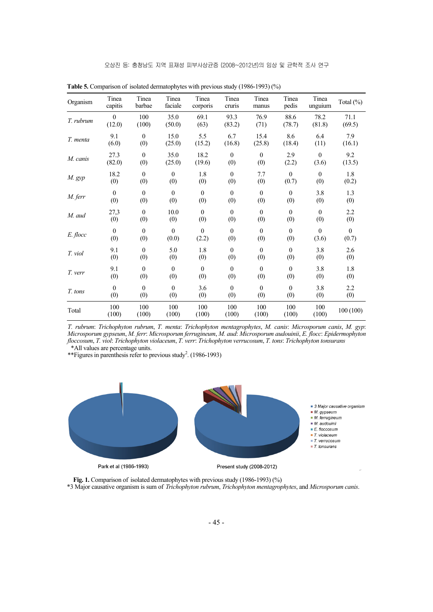| Organism  | Tinea<br>capitis | Tinea<br>barbae  | Tinea<br>faciale | Tinea<br>corporis | Tinea<br>cruris  | Tinea<br>manus   | Tinea<br>pedis | Tinea<br>unguium | Total (%)        |
|-----------|------------------|------------------|------------------|-------------------|------------------|------------------|----------------|------------------|------------------|
| T. rubrum | $\theta$         | 100              | 35.0             | 69.1              | 93.3             | 76.9             | 88.6           | 78.2             | 71.1             |
|           | (12.0)           | (100)            | (50.0)           | (63)              | (83.2)           | (71)             | (78.7)         | (81.8)           | (69.5)           |
| T. menta  | 9.1              | $\mathbf{0}$     | 15.0             | 5.5               | 6.7              | 15.4             | 8.6            | 6.4              | 7.9              |
|           | (6.0)            | (0)              | (25.0)           | (15.2)            | (16.8)           | (25.8)           | (18.4)         | (11)             | (16.1)           |
| M. canis  | 27.3             | $\mathbf{0}$     | 35.0             | 18.2              | $\mathbf{0}$     | $\mathbf{0}$     | 2.9            | $\theta$         | 9.2              |
|           | (82.0)           | (0)              | (25.0)           | (19.6)            | (0)              | (0)              | (2.2)          | (3.6)            | (13.5)           |
| $M$ . gyp | 18.2             | $\boldsymbol{0}$ | $\mathbf{0}$     | 1.8               | $\boldsymbol{0}$ | 7.7              | $\theta$       | $\boldsymbol{0}$ | 1.8              |
|           | (0)              | (0)              | (0)              | (0)               | (0)              | (0)              | (0.7)          | (0)              | (0.2)            |
| M. ferr   | $\boldsymbol{0}$ | $\mathbf{0}$     | $\mathbf{0}$     | $\mathbf{0}$      | $\mathbf{0}$     | $\mathbf{0}$     | $\mathbf{0}$   | 3.8              | 1.3              |
|           | (0)              | (0)              | (0)              | (0)               | (0)              | (0)              | (0)            | (0)              | (0)              |
| M. aud    | 27,3             | $\boldsymbol{0}$ | 10.0             | $\mathbf{0}$      | $\boldsymbol{0}$ | $\boldsymbol{0}$ | $\mathbf{0}$   | $\mathbf{0}$     | 2.2              |
|           | (0)              | (0)              | (0)              | (0)               | (0)              | (0)              | (0)            | (0)              | (0)              |
| E. flocc  | $\boldsymbol{0}$ | $\mathbf{0}$     | $\mathbf{0}$     | $\mathbf{0}$      | $\boldsymbol{0}$ | $\boldsymbol{0}$ | $\mathbf{0}$   | $\boldsymbol{0}$ | $\boldsymbol{0}$ |
|           | (0)              | (0)              | (0.0)            | (2.2)             | (0)              | (0)              | (0)            | (3.6)            | (0.7)            |
| T. viol   | 9.1              | $\mathbf{0}$     | 5.0              | 1.8               | $\boldsymbol{0}$ | $\boldsymbol{0}$ | $\mathbf{0}$   | 3.8              | 2.6              |
|           | (0)              | (0)              | (0)              | (0)               | (0)              | (0)              | (0)            | (0)              | (0)              |
| T. verr   | 9.1              | $\mathbf{0}$     | $\mathbf{0}$     | $\mathbf{0}$      | $\boldsymbol{0}$ | $\mathbf{0}$     | $\overline{0}$ | 3.8              | 1.8              |
|           | (0)              | (0)              | (0)              | (0)               | (0)              | (0)              | (0)            | (0)              | (0)              |
| T. tons   | $\boldsymbol{0}$ | $\mathbf{0}$     | $\mathbf{0}$     | 3.6               | $\mathbf{0}$     | $\mathbf{0}$     | $\theta$       | 3.8              | 2.2              |
|           | (0)              | (0)              | (0)              | (0)               | (0)              | (0)              | (0)            | (0)              | (0)              |
| Total     | 100<br>(100)     | 100<br>(100)     | 100<br>(100)     | 100<br>(100)      | 100<br>(100)     | 100<br>(100)     | 100<br>(100)   | 100<br>(100)     | 100 (100)        |

**Table 5.** Comparison of isolated dermatophytes with previous study (1986-1993) (%)

*T. rubrum*: *Trichophyton rubrum*, *T. menta*: *Trichophyton mentagrophytes*, *M. canis*: *Microsporum canis*, *M. gyp*: *Microsporum gypseum*, *M. ferr*: *Microsporum ferrugineum*, *M. aud*: *Microsporum audouinii*, *E. flocc*: *Epidermophyton floccosum*, *T. viol*: *Trichophyton violaceum*, *T. verr*: *Trichophyton verrucosum*, *T. tons*: *Trichophyton tonsurans* \*All values are percentage units.

\*\*Figures in parenthesis refer to previous study<sup>2</sup>. (1986-1993)



Fig. 1. Comparison of isolated dermatophytes with previous study (1986-1993) (%) \*3 Major causative organism is sum of *Trichophyton rubrum*, *Trichophyton mentagrophytes*, and *Microsporum canis*.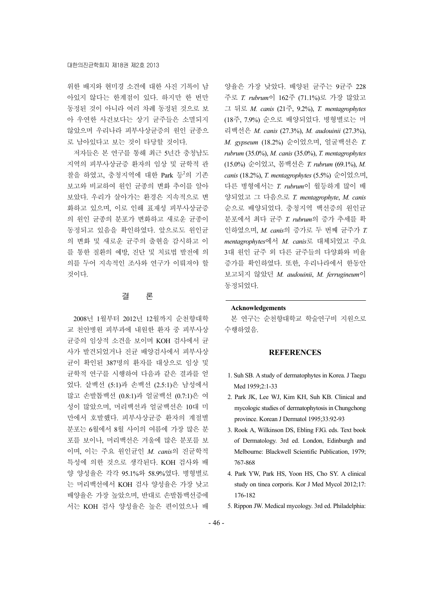위한 배지와 현미경 소견에 대한 사진 기록이 남 아있지 않다는 한계점이 있다. 하지만 한 번만 동정된 것이 아니라 여러 차례 동정된 것으로 보 아 우연한 사건보다는 상기 균주들은 소멸되지 않았으며 우리나라 피부사상균증의 원인 균종으 로 남아있다고 보는 것이 타당할 것이다.

저자들은 본 연구를 통해 최근 5년간 충청남도 지역의 피부사상균증 환자의 임상 및 균학적 관 찰을 하였고, 충청지역에 대한 Park 등<sup>2</sup>의 기존 보고와 비교하여 원인 균종의 변화 추이를 알아 보았다. 우리가 살아가는 환경은 지속적으로 변 화하고 있으며, 이로 인해 표재성 피부사상균증 의 원인 균종의 분포가 변화하고 새로운 균종이 동정되고 있음을 확인하였다. 앞으로도 원인균 의 변화 및 새로운 균주의 출현을 감시하고 이 를 통한 질환의 예방, 진단 및 치료법 발전에 의 의를 두어 지속적인 조사와 연구가 이뤄져야 할 것이다.

## 결 론

2008년 1월부터 2012년 12월까지 순천향대학 교 천안병원 피부과에 내원한 환자 중 피부사상 균증의 임상적 소견을 보이며 KOH 검사에서 균 사가 발견되었거나 진균 배양검사에서 피부사상 균이 확인된 387명의 환자를 대상으로 임상 및 균학적 연구를 시행하여 다음과 같은 결과를 얻 었다. 샅백선 (5:1)과 손백선 (2.5:1)은 남성에서 많고 손발톱백선 (0.8:1)과 얼굴백선 (0.7:1)은 여 성이 많았으며, 머리백선과 얼굴백선은 10대 미 만에서 호발했다. 피부사상균증 환자의 계절별 분포는 6월에서 8월 사이의 여름에 가장 많은 분 포를 보이나, 머리백선은 겨울에 많은 분포를 보 이며, 이는 주요 원인균인 *M. canis*의 진균학적 특성에 의한 것으로 생각된다. KOH 검사와 배 양 양성율은 각각 95.1%와 58.9%였다. 병형별로 는 머리백선에서 KOH 검사 양성율은 가장 낮고 배양율은 가장 높았으며, 반대로 손발톱백선증에 서는 KOH 검사 양성율은 높은 편이었으나 배

양율은 가장 낮았다. 배양된 균주는 9균주 228 주로 *T. rubrum*이 162주 (71.1%)로 가장 많았고 그 뒤로 *M. canis* (21주, 9.2%), *T. mentagrophytes* (18주, 7.9%) 순으로 배양되었다. 병형별로는 머 리백선은 *M. canis* (27.3%), *M. audouinii* (27.3%), *M. gypseum* (18.2%) 순이었으며, 얼굴백선은 *T. rubrum* (35.0%), *M. canis* (35.0%), *T. mentagrophytes* (15.0%) 순이었고, 몸백선은 *T. rubrum* (69.1%), *M. canis* (18.2%), *T. mentagrophytes* (5.5%) 순이었으며, 다른 병형에서는 *T. rubrum*이 월등하게 많이 배 양되었고 그 다음으로 *T. mentagrophyte*, *M. canis* 순으로 배양되었다. 충청지역 백선증의 원인균 분포에서 최다 균주 *T. rubrum*의 증가 추세를 확 인하였으며, *M. canis*의 증가로 두 번째 균주가 *T. mentagrophytes*에서 *M. canis*로 대체되었고 주요 3대 원인 균주 외 다른 균주들의 다양화와 비율 증가를 확인하였다. 또한, 우리나라에서 한동안 보고되지 않았던 *M. audouinii*, *M. ferrugineum*이 동정되었다.

## **Acknowledgements**

본 연구는 순천향대학교 학술연구비 지원으로 수행하였음.

#### **REFERENCES**

- 1. Suh SB. A study of dermatophytes in Korea. J Taegu Med 1959;2:1-33
- 2. Park JK, Lee WJ, Kim KH, Suh KB. Clinical and mycologic studies of dermatophytosis in Chungchong province. Korean J Dermatol 1995;33:92-93
- 3. Rook A, Wilkinson DS, Ebling FJG. eds. Text book of Dermatology. 3rd ed. London, Edinburgh and Melbourne: Blackwell Scientific Publication, 1979; 767-868
- 4. Park YW, Park HS, Yoon HS, Cho SY. A clinical study on tinea corporis. Kor J Med Mycol 2012;17: 176-182
- 5. Rippon JW. Medical mycology. 3rd ed. Philadelphia: